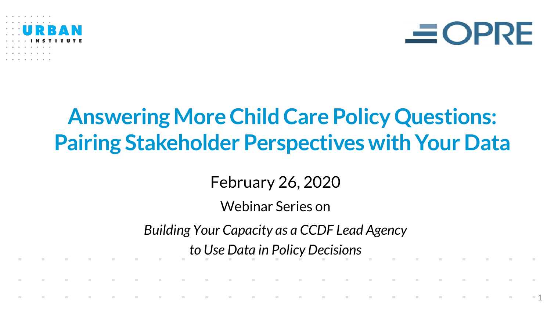



1

### **Answering More Child Care Policy Questions: Pairing Stakeholder Perspectives with Your Data**

February 26, 2020

Webinar Series on

*Building Your Capacity as a CCDF Lead Agency* 

*to Use Data in Policy Decisions*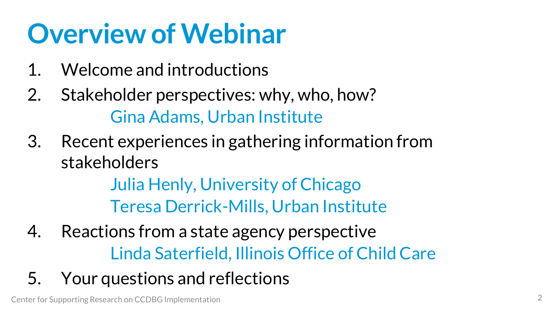# **Overview of Webinar**

- 1. Welcome and introductions
- 2. Stakeholder perspectives: why, who, how? Gina Adams, Urban Institute
- 3. Recent experiences in gathering information from stakeholders

Julia Henly, University of Chicago Teresa Derrick-Mills, Urban Institute

- 4. Reactions from a state agency perspective Linda Saterfield, Illinois Office of Child Care
- 5. Your questions and reflections

Center for Supporting Research on CCDBG Implementation 2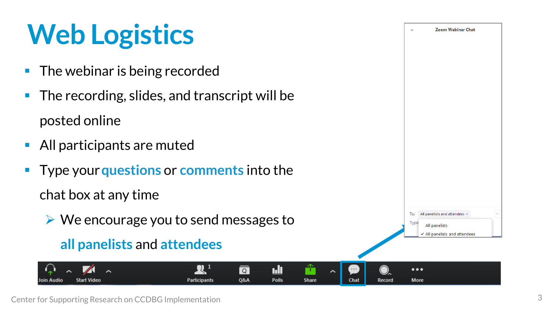# **Web Logistics**

- **The webinar is being recorded**
- **The recording, slides, and transcript will be** posted online
- **All participants are muted**
- Type your **questions** or **comments** into the

chat box at any time

**Start Video** 

We encourage you to send messages to

**Participants** 

### **all panelists** and **attendees**



≏

**Share** 

<u>ı.lı</u>

**Polls** 

 $\boxed{Q}$ 

**Q&A**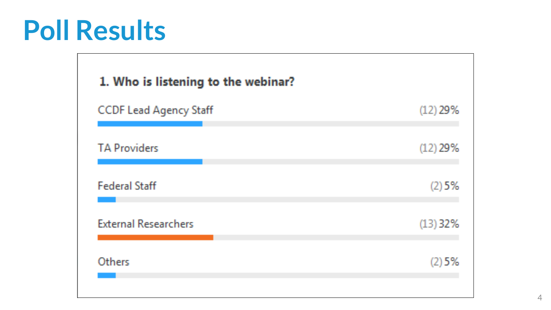# **Poll Results**

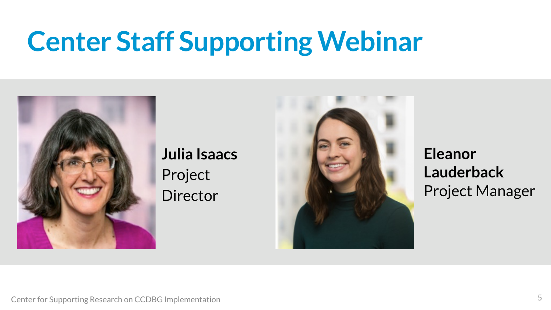# **Center Staff Supporting Webinar**



**Julia Isaacs**  Project Director



**Eleanor Lauderback** Project Manager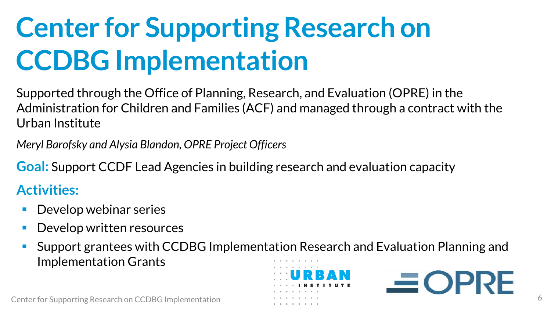# **Center for Supporting Research on CCDBG Implementation**

Supported through the Office of Planning, Research, and Evaluation (OPRE) in the Administration for Children and Families (ACF) and managed through a contract with the Urban Institute

*Meryl Barofsky and Alysia Blandon, OPRE Project Officers*

**Goal:** Support CCDF Lead Agencies in building research and evaluation capacity

### **Activities:**

- Develop webinar series
- Develop written resources
- Support grantees with CCDBG Implementation Research and Evaluation Planning and Implementation Grants



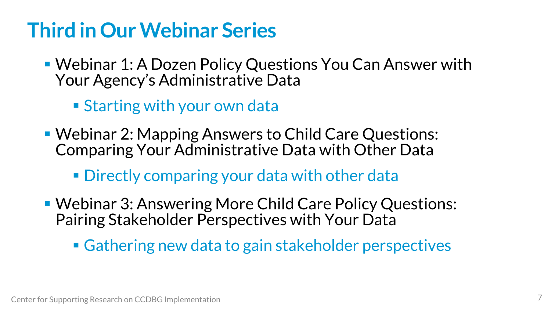### **Third in Our Webinar Series**

- Webinar 1: A Dozen Policy Questions You Can Answer with Your Agency's Administrative Data
	- Starting with your own data
- Webinar 2: Mapping Answers to Child Care Questions: Comparing Your Administrative Data with Other Data
	- **Directly comparing your data with other data**
- Webinar 3: Answering More Child Care Policy Questions: Pairing Stakeholder Perspectives with Your Data
	- Gathering new data to gain stakeholder perspectives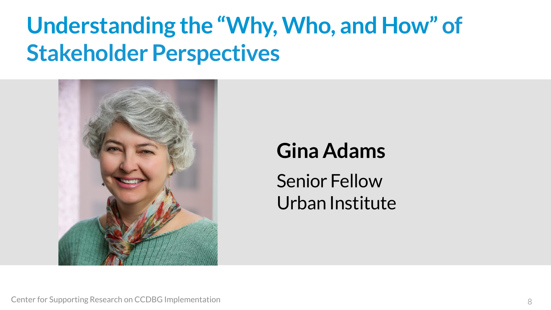## **Understanding the "Why, Who, and How" of Stakeholder Perspectives**



### **Gina Adams**

Senior Fellow Urban Institute

Center for Supporting Research on CCDBG Implementation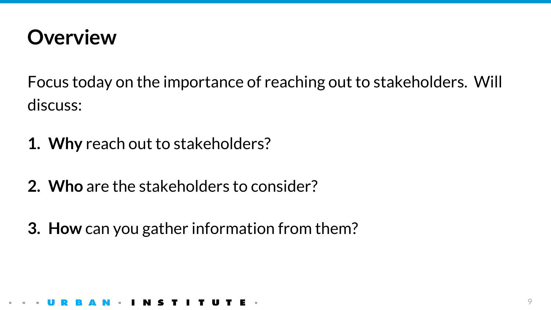

Focus today on the importance of reaching out to stakeholders. Will discuss:

- **1. Why** reach out to stakeholders?
- **2. Who** are the stakeholders to consider?
- **3. How** can you gather information from them?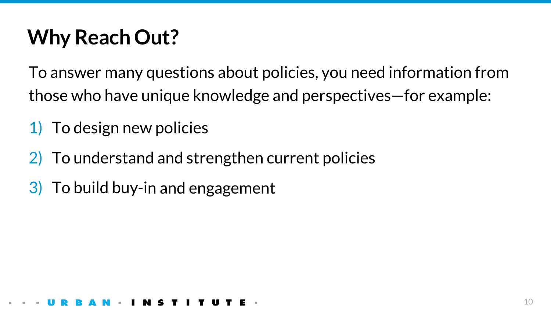### **Why Reach Out?**

To answer many questions about policies, you need information from those who have unique knowledge and perspectives—for example:

- 1) To design new policies
- 2) To understand and strengthen current policies
- 3) To build buy-in and engagement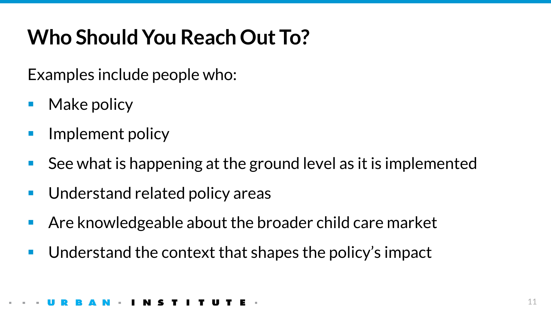### **Who Should You Reach Out To?**

Examples include people who:

- Make policy
- Implement policy
- See what is happening at the ground level as it is implemented
- **Understand related policy areas**
- Are knowledgeable about the broader child care market
- Understand the context that shapes the policy's impact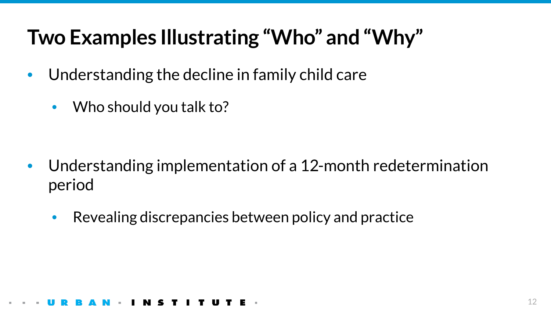### **Two Examples Illustrating "Who" and "Why"**

- $\bullet$ Understanding the decline in family child care
	- Who should you talk to?

- Understanding implementation of a 12-month redetermination period
	- Revealing discrepancies between policy and practice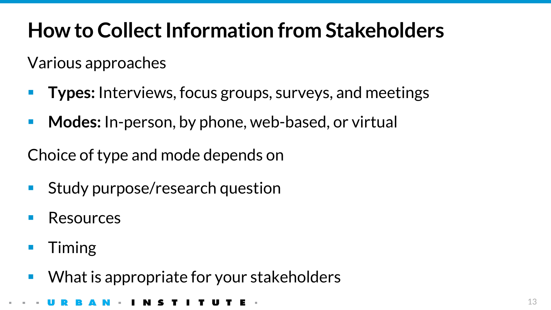### **How to Collect Information from Stakeholders**

Various approaches

- **Types:** Interviews, focus groups, surveys, and meetings
- **Modes:** In-person, by phone, web-based, or virtual

Choice of type and mode depends on

- **Study purpose/research question**
- Resources
- Timing
- What is appropriate for your stakeholders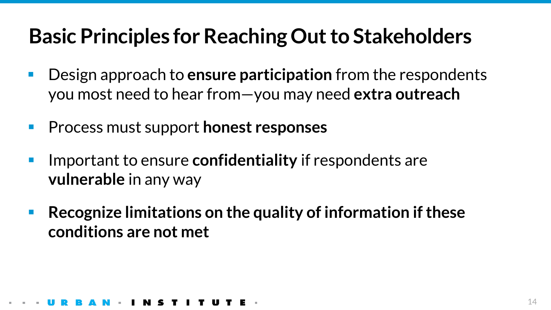### **Basic Principles for Reaching Out to Stakeholders**

- $\mathcal{L}_{\mathcal{A}}$ Design approach to **ensure participation** from the respondents you most need to hear from—you may need **extra outreach**
- Process must support **honest responses**
- Important to ensure **confidentiality** if respondents are **vulnerable** in any way
- **Recognize limitations on the quality of information if these conditions are not met**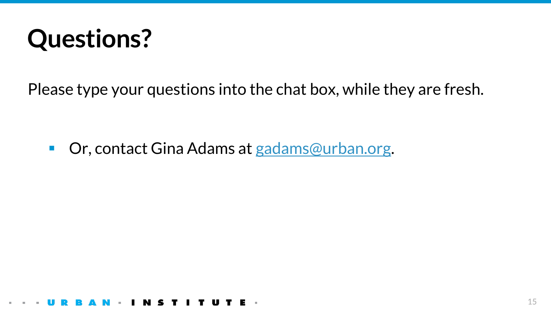

Please type your questions into the chat box, while they are fresh.

■ Or, contact Gina Adams at [gadams@urban.org](mailto:gadams@urban.org).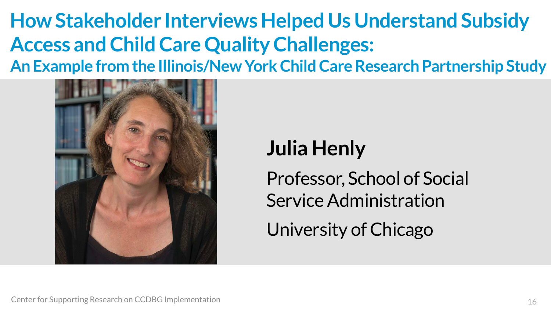**How Stakeholder Interviews Helped Us Understand Subsidy Access and Child Care Quality Challenges: An Example from the Illinois/New York Child Care Research Partnership Study**



### **Julia Henly**

Professor, School of Social Service Administration University of Chicago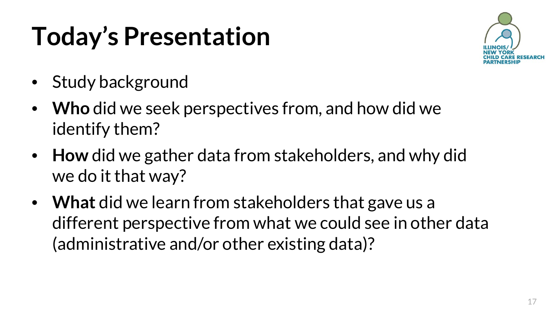# **Today's Presentation**



- Study background
- **Who** did we seek perspectives from, and how did we identify them?
- **How** did we gather data from stakeholders, and why did we do it that way?
- **What** did we learn from stakeholders that gave us a different perspective from what we could see in other data (administrative and/or other existing data)?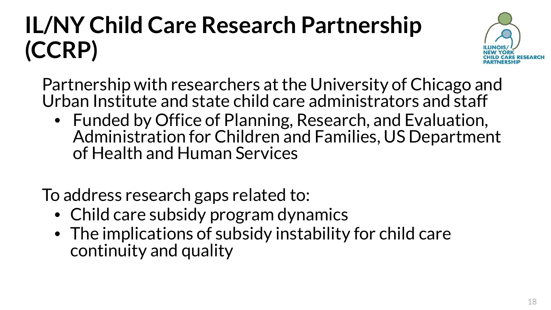# **IL/NY Child Care Research Partnership (CCRP)**



Partnership with researchers at the University of Chicago and Urban Institute and state child care administrators and staff

• Funded by Office of Planning, Research, and Evaluation, Administration for Children and Families, US Department of Health and Human Services

To address research gaps related to:

- Child care subsidy program dynamics
- The implications of subsidy instability for child care continuity and quality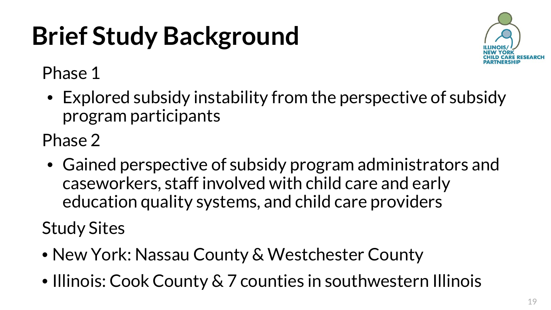# **Brief Study Background**



Phase 1

• Explored subsidy instability from the perspective of subsidy program participants

Phase 2

• Gained perspective of subsidy program administrators and caseworkers, staff involved with child care and early education quality systems, and child care providers

Study Sites

- New York: Nassau County & Westchester County
- Illinois: Cook County & 7 counties in southwestern Illinois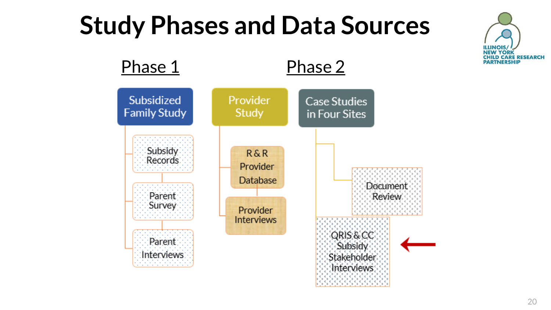# **Study Phases and Data Sources**



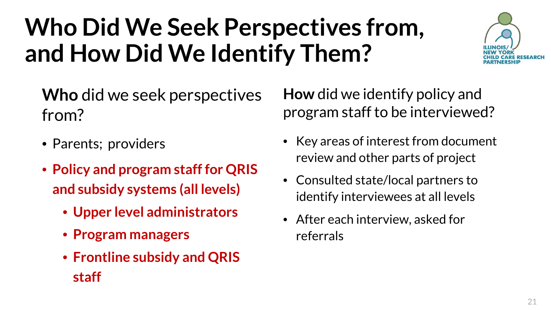# **Who Did We Seek Perspectives from, and How Did We Identify Them?**



**Who** did we seek perspectives from?

- Parents; providers
- **Policy and program staff for QRIS and subsidy systems (all levels)**
	- **Upper level administrators**
	- **Program managers**
	- **Frontline subsidy and QRIS staff**

**How** did we identify policy and program staff to be interviewed?

- Key areas of interest from document review and other parts of project
- Consulted state/local partners to identify interviewees at all levels
- After each interview, asked for referrals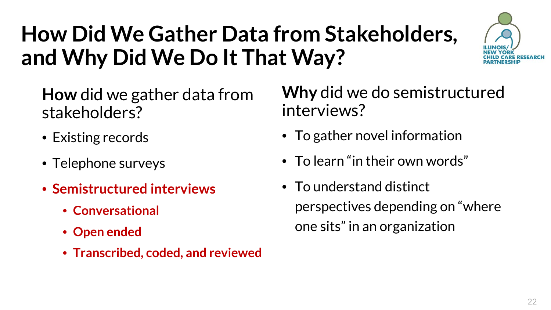## **How Did We Gather Data from Stakeholders, and Why Did We Do It That Way?**



**How** did we gather data from stakeholders?

- Existing records
- Telephone surveys
- **Semistructured interviews**
	- **Conversational**
	- **Open ended**
	- **Transcribed, coded, and reviewed**

**Why** did we do semistructured interviews?

- To gather novel information
- To learn "in their own words"
- To understand distinct perspectives depending on "where one sits" in an organization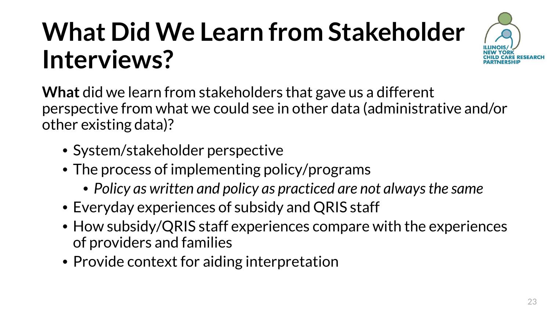# **What Did We Learn from Stakeholder Interviews?**



**What** did we learn from stakeholders that gave us a different perspective from what we could see in other data (administrative and/or other existing data)?

- System/stakeholder perspective
- The process of implementing policy/programs
	- *Policy as written and policy as practiced are not always the same*
- Everyday experiences of subsidy and QRIS staff
- How subsidy/QRIS staff experiences compare with the experiences of providers and families
- Provide context for aiding interpretation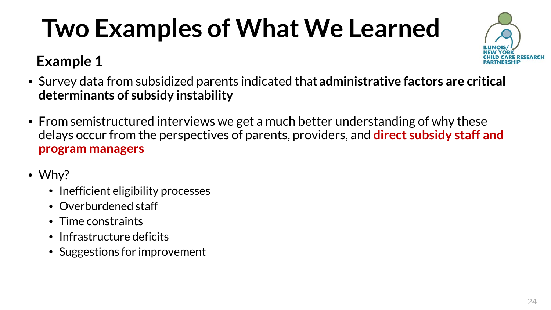# **Two Examples of What We Learned**

### **Example 1**



- Survey data from subsidized parents indicated that **administrative factors are critical determinants of subsidy instability**
- From semistructured interviews we get a much better understanding of why these delays occur from the perspectives of parents, providers, and **direct subsidy staff and program managers**
- Why?
	- Inefficient eligibility processes
	- Overburdened staff
	- Time constraints
	- Infrastructure deficits
	- Suggestions for improvement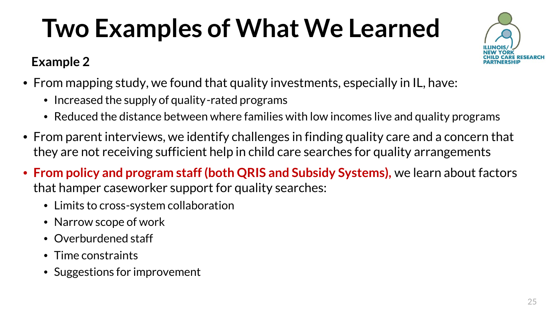# **Two Examples of What We Learned**

### **Example 2**



- Increased the supply of quality-rated programs
- Reduced the distance between where families with low incomes live and quality programs
- From parent interviews, we identify challenges in finding quality care and a concern that they are not receiving sufficient help in child care searches for quality arrangements
- **From policy and program staff (both QRIS and Subsidy Systems),** we learn about factors that hamper caseworker support for quality searches:
	- Limits to cross-system collaboration
	- Narrow scope of work
	- Overburdened staff
	- Time constraints
	- Suggestions for improvement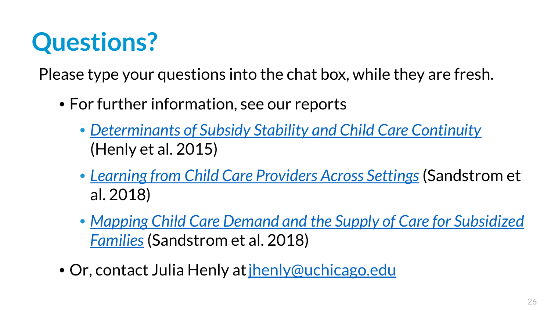# **Questions?**

Please type your questions into the chat box, while they are fresh.

- For further information, see our reports
	- *[Determinants of Subsidy Stability and Child Care Continuity](https://www.urban.org/research/publication/determinants-subsidy-stability-andchild-care-continuity)* (Henly et al. 2015)
	- *[Learning from Child Care Providers Across Settings](https://www.urban.org/research/publication/learning-child-care-providers-across-settings)* (Sandstrom et al. 2018)
	- *[Mapping Child Care Demand and the Supply of Care for Subsidized](https://www.urban.org/research/publication/mapping-child-care-demand-and-supply-care-subsidized-families) Families* (Sandstrom et al. 2018)
- Or, contact Julia Henly at [jhenly@uchicago.edu](mailto:jhenly@uchicago.edu)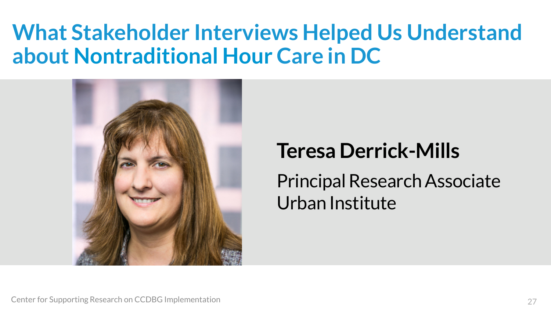### **What Stakeholder Interviews Helped Us Understand about Nontraditional Hour Care in DC**



### **Teresa Derrick-Mills**

Principal Research Associate Urban Institute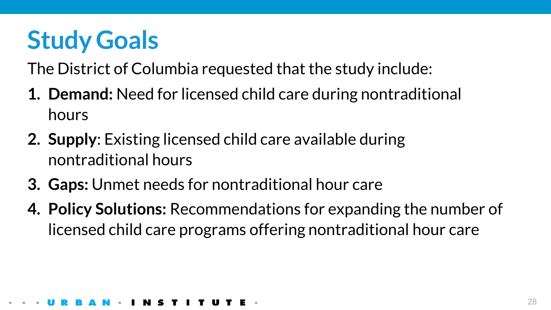# **Study Goals**

The District of Columbia requested that the study include:

- **1. Demand:** Need for licensed child care during nontraditional hours
- **2. Supply**: Existing licensed child care available during nontraditional hours
- **3. Gaps:** Unmet needs for nontraditional hour care
- **4. Policy Solutions:** Recommendations for expanding the number of licensed child care programs offering nontraditional hour care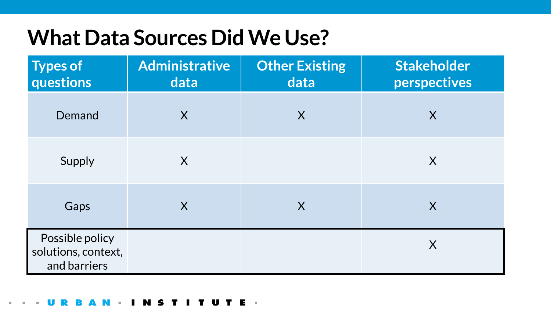### **What Data Sources Did We Use?**

| <b>Types of</b><br>questions                           | <b>Administrative</b><br>data | <b>Other Existing</b><br>data | Stakeholder<br>perspectives |
|--------------------------------------------------------|-------------------------------|-------------------------------|-----------------------------|
| Demand                                                 | $\overline{\mathsf{X}}$       | X                             | X                           |
| Supply                                                 | X                             |                               | X                           |
| Gaps                                                   | X                             | X                             | X                           |
| Possible policy<br>solutions, context,<br>and barriers |                               |                               | $\sf X$                     |

### T U Е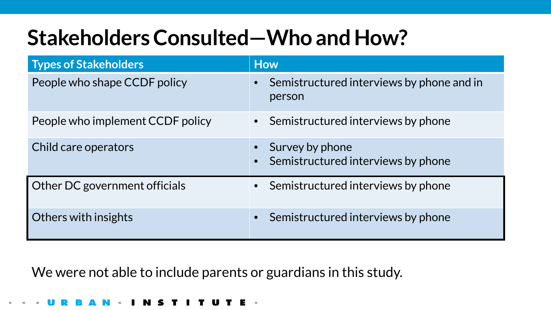### **Stakeholders Consulted—Who and How?**

| <b>Types of Stakeholders</b>     | <b>How</b>                                            |  |
|----------------------------------|-------------------------------------------------------|--|
| People who shape CCDF policy     | Semistructured interviews by phone and in<br>person   |  |
| People who implement CCDF policy | • Semistructured interviews by phone                  |  |
| Child care operators             | Survey by phone<br>Semistructured interviews by phone |  |
| Other DC government officials    | • Semistructured interviews by phone                  |  |
| Others with insights             | Semistructured interviews by phone<br>$\bullet$       |  |

We were not able to include parents or guardians in this study.

I T U T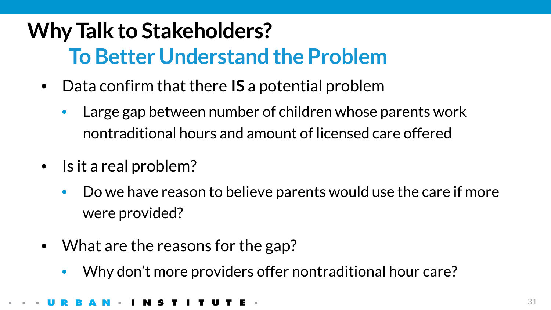### **Why Talk to Stakeholders? To Better Understand the Problem**

- Data confirm that there **IS** a potential problem
	- Large gap between number of children whose parents work nontraditional hours and amount of licensed care offered
- Is it a real problem?
	- Do we have reason to believe parents would use the care if more were provided?
- What are the reasons for the gap?
	- Why don't more providers offer nontraditional hour care?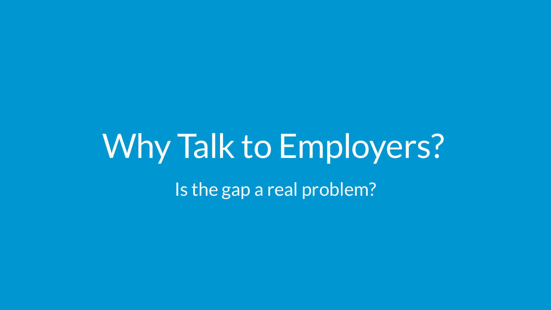# Why Talk to Employers?

Is the gap a real problem?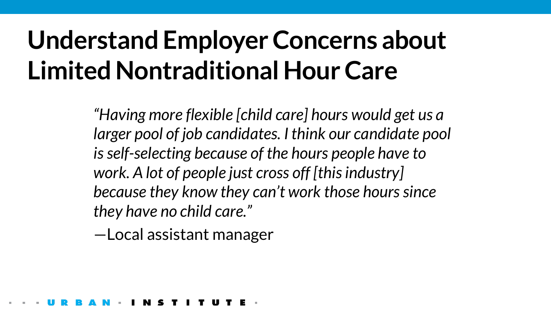# **Understand Employer Concerns about Limited Nontraditional Hour Care**

*"Having more flexible [child care] hours would get us a larger pool of job candidates. I think our candidate pool is self-selecting because of the hours people have to work. A lot of people just cross off [this industry] because they know they can't work those hours since they have no child care."* 

—Local assistant manager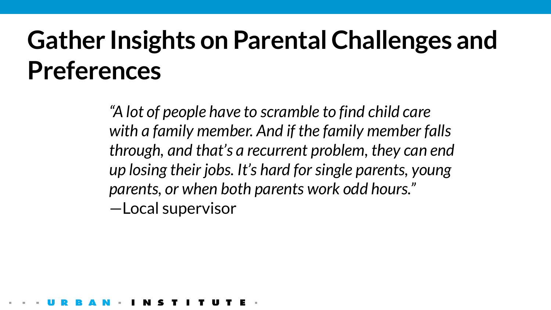# **Gather Insights on Parental Challenges and Preferences**

*"A lot of people have to scramble to find child care with a family member. And if the family member falls through, and that's a recurrent problem, they can end up losing their jobs. It's hard for single parents, young parents, or when both parents work odd hours."*  —Local supervisor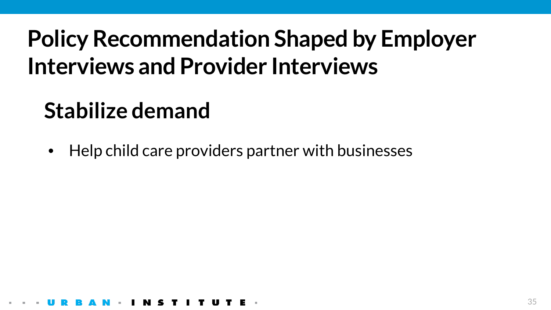## **Policy Recommendation Shaped by Employer Interviews and Provider Interviews**

### **Stabilize demand**

• Help child care providers partner with businesses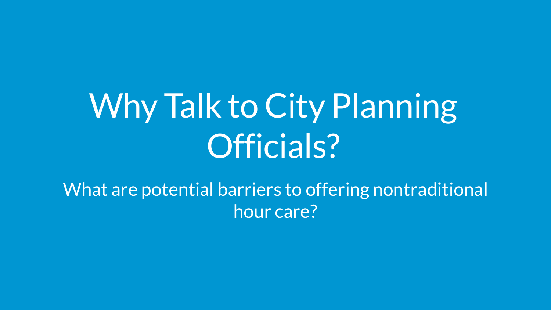# Why Talk to City Planning Officials?

What are potential barriers to offering nontraditional hour care?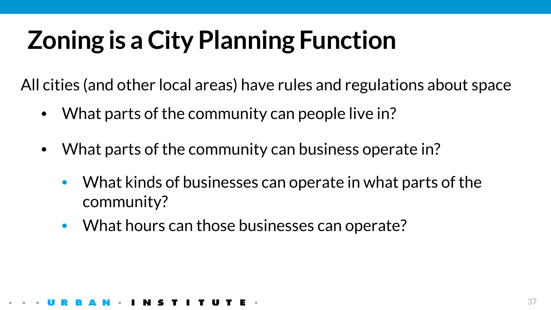# **Zoning is a City Planning Function**

All cities (and other local areas) have rules and regulations about space

- What parts of the community can people live in?
- What parts of the community can business operate in?
	- What kinds of businesses can operate in what parts of the community?
	- What hours can those businesses can operate?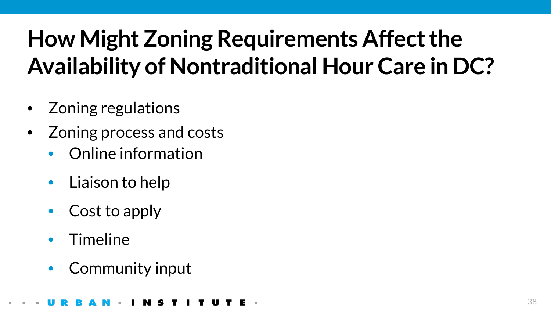## **How Might Zoning Requirements Affect the Availability of Nontraditional Hour Care in DC?**

- Zoning regulations
- Zoning process and costs
	- Online information
	- Liaison to help
	- Cost to apply
	- Timeline
	- Community input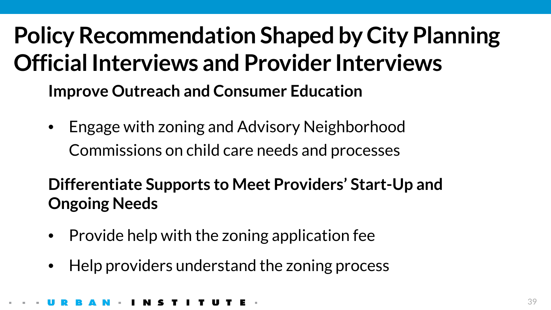## **Policy Recommendation Shaped by City Planning Official Interviews and Provider Interviews Improve Outreach and Consumer Education**

• Engage with zoning and Advisory Neighborhood Commissions on child care needs and processes

**Differentiate Supports to Meet Providers' Start-Up and Ongoing Needs** 

- Provide help with the zoning application fee
- Help providers understand the zoning process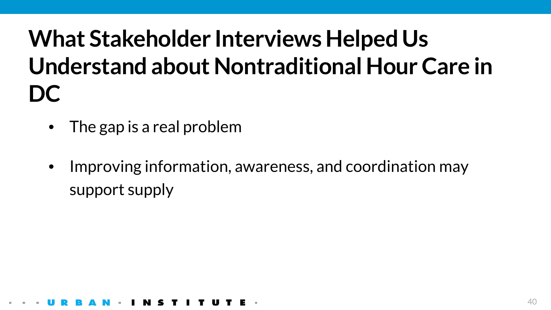## **What Stakeholder Interviews Helped Us Understand about Nontraditional Hour Care in DC**

- The gap is a real problem
- Improving information, awareness, and coordination may support supply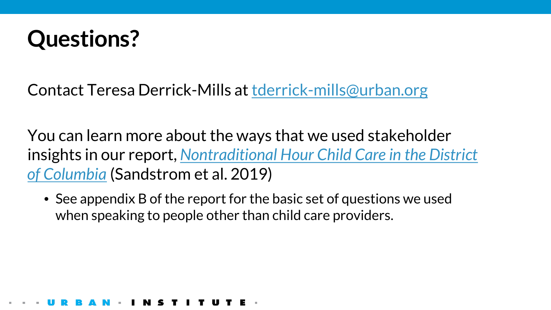

Contact Teresa Derrick-Mills at [tderrick-mills@urban.org](mailto:tderrick-mills@urban.org)

You can learn more about the ways that we used stakeholder insights in our report, *[Nontraditional Hour Child Care in the District](https://www.urban.org/research/publication/nontraditional-hour-child-care-district-columbia)  of Columbia* (Sandstrom et al. 2019)

• See appendix B of the report for the basic set of questions we used when speaking to people other than child care providers.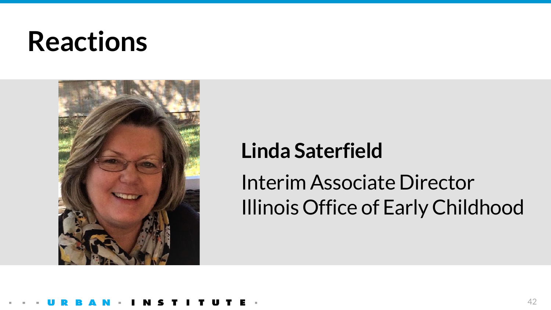# **Reactions**



### **Linda Saterfield**

### Interim Associate Director Illinois Office of Early Childhood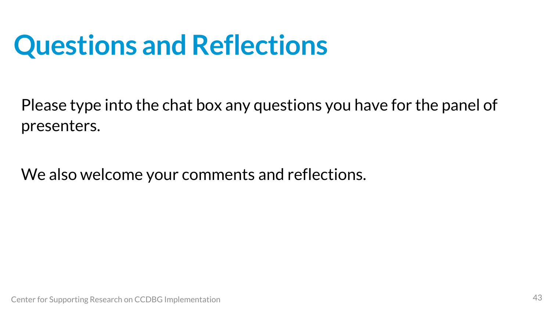# **Questions and Reflections**

Please type into the chat box any questions you have for the panel of presenters.

We also welcome your comments and reflections.